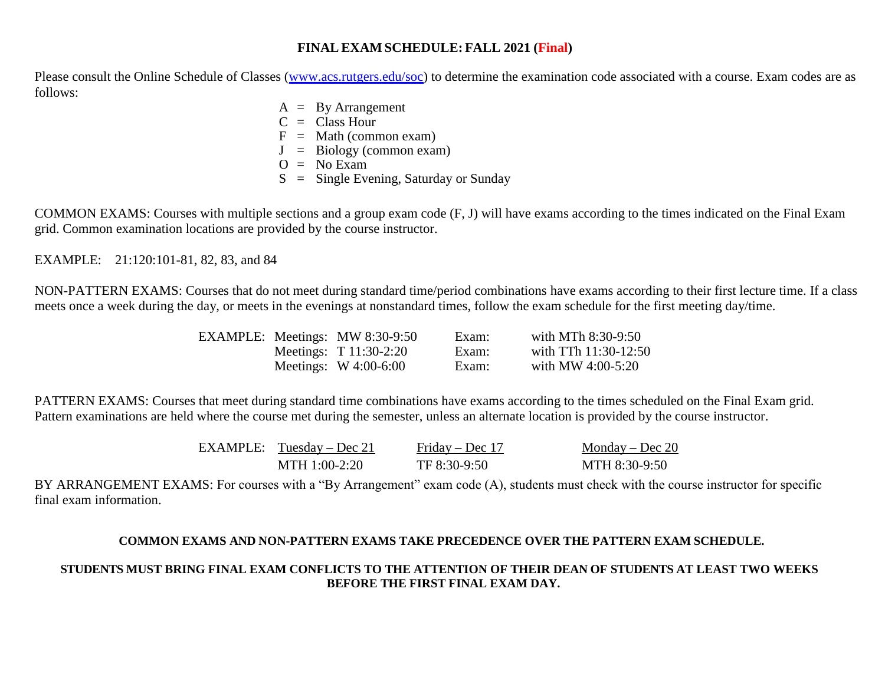### **FINALEXAM SCHEDULE: FALL 2021 (Final)**

Please consult the Online Schedule of Classes [\(www.acs.rutgers.edu/soc\)](http://www.acs.rutgers.edu/soc) to determine the examination code associated with a course. Exam codes are as follows:

> $A = By Arrangement$  $C = Class Hour$  $F = \text{Math (common exam)}$  $J = Biology (common exam)$  $O = No Exam$ S = Single Evening, Saturday or Sunday

COMMON EXAMS: Courses with multiple sections and a group exam code (F, J) will have exams according to the times indicated on the Final Exam grid. Common examination locations are provided by the course instructor.

EXAMPLE: 21:120:101-81, 82, 83, and 84

NON-PATTERN EXAMS: Courses that do not meet during standard time/period combinations have exams according to their first lecture time. If a class meets once a week during the day, or meets in the evenings at nonstandard times, follow the exam schedule for the first meeting day/time.

|  | EXAMPLE: Meetings: MW 8:30-9:50 | Exam: | with MTh 8:30-9:50   |
|--|---------------------------------|-------|----------------------|
|  | Meetings: T 11:30-2:20          | Exam: | with TTh 11:30-12:50 |
|  | Meetings: $W$ 4:00-6:00         | Exam: | with MW 4:00-5:20    |

PATTERN EXAMS: Courses that meet during standard time combinations have exams according to the times scheduled on the Final Exam grid. Pattern examinations are held where the course met during the semester, unless an alternate location is provided by the course instructor.

| $EXAMPLE:$ Tuesday – Dec 21 | Friday – Dec 17 | Monday – Dec $20$ |  |
|-----------------------------|-----------------|-------------------|--|
| MTH 1:00-2:20               | TF 8:30-9:50    | MTH 8:30-9:50     |  |

BY ARRANGEMENT EXAMS: For courses with a "By Arrangement" exam code (A), students must check with the course instructor for specific final exam information.

#### **COMMON EXAMS AND NON-PATTERN EXAMS TAKE PRECEDENCE OVER THE PATTERN EXAM SCHEDULE.**

## **STUDENTS MUST BRING FINAL EXAM CONFLICTS TO THE ATTENTION OF THEIR DEAN OF STUDENTS AT LEAST TWO WEEKS BEFORE THE FIRST FINAL EXAM DAY.**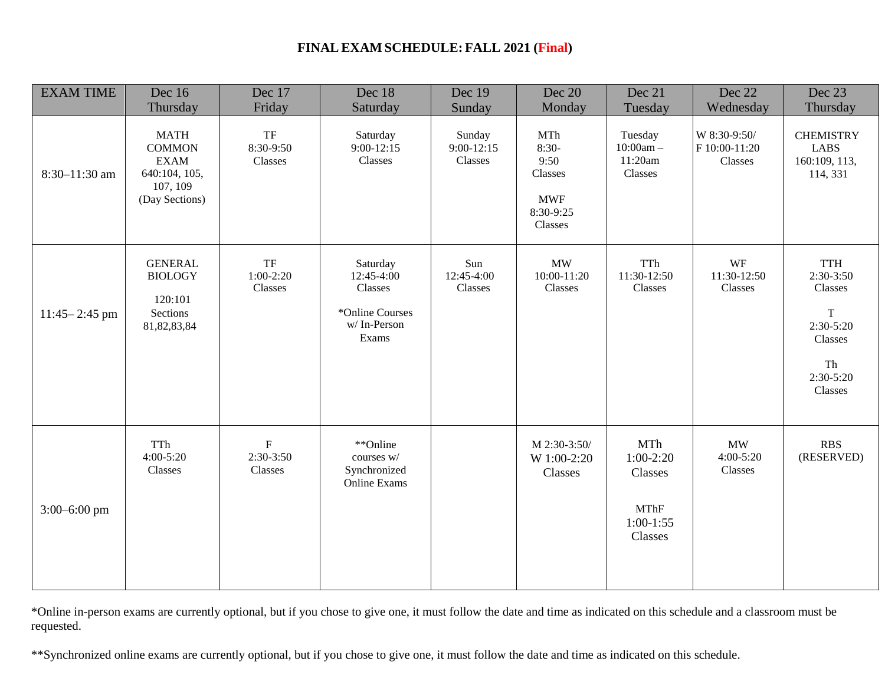# **FINALEXAM SCHEDULE: FALL 2021 (Final)**

| <b>EXAM TIME</b>  | Dec 16<br>Thursday                                                                         | Dec 17<br>Friday                                                         | Dec 18<br>Saturday                                                           | Dec 19<br>Sunday                  | Dec 20<br>Monday                                                                             | Dec 21<br>Tuesday                                                      | Dec 22<br>Wednesday                      | Dec 23<br>Thursday                                                                                            |
|-------------------|--------------------------------------------------------------------------------------------|--------------------------------------------------------------------------|------------------------------------------------------------------------------|-----------------------------------|----------------------------------------------------------------------------------------------|------------------------------------------------------------------------|------------------------------------------|---------------------------------------------------------------------------------------------------------------|
| 8:30-11:30 am     | <b>MATH</b><br><b>COMMON</b><br><b>EXAM</b><br>640:104, 105,<br>107, 109<br>(Day Sections) | $\ensuremath{\mathsf{T}}\ensuremath{\mathsf{F}}$<br>8:30-9:50<br>Classes | Saturday<br>$9:00-12:15$<br>Classes                                          | Sunday<br>$9:00-12:15$<br>Classes | $\mathbf{M} \mathbf{Th}$<br>$8:30-$<br>9:50<br>Classes<br><b>MWF</b><br>8:30-9:25<br>Classes | Tuesday<br>$10:00am -$<br>11:20am<br>Classes                           | W 8:30-9:50/<br>F 10:00-11:20<br>Classes | <b>CHEMISTRY</b><br><b>LABS</b><br>160:109, 113,<br>114, 331                                                  |
| $11:45 - 2:45$ pm | <b>GENERAL</b><br><b>BIOLOGY</b><br>120:101<br>Sections<br>81,82,83,84                     | TF<br>$1:00-2:20$<br>Classes                                             | Saturday<br>12:45-4:00<br>Classes<br>*Online Courses<br>w/In-Person<br>Exams | Sun<br>12:45-4:00<br>Classes      | <b>MW</b><br>10:00-11:20<br>Classes                                                          | TTh<br>11:30-12:50<br>Classes                                          | <b>WF</b><br>11:30-12:50<br>Classes      | <b>TTH</b><br>$2:30-3:50$<br>Classes<br>$\mathbf T$<br>$2:30-5:20$<br>Classes<br>Th<br>$2:30-5:20$<br>Classes |
| $3:00 - 6:00$ pm  | TTh<br>$4:00-5:20$<br>Classes                                                              | $\mathbf F$<br>$2:30-3:50$<br>Classes                                    | **Online<br>courses w/<br>Synchronized<br><b>Online Exams</b>                |                                   | M 2:30-3:50/<br>W 1:00-2:20<br>Classes                                                       | MTh<br>$1:00-2:20$<br>Classes<br><b>MThF</b><br>$1:00-1:55$<br>Classes | MW<br>$4:00-5:20$<br>Classes             | <b>RBS</b><br>(RESERVED)                                                                                      |

\*Online in-person exams are currently optional, but if you chose to give one, it must follow the date and time as indicated on this schedule and a classroom must be requested.

\*\*Synchronized online exams are currently optional, but if you chose to give one, it must follow the date and time as indicated on this schedule.